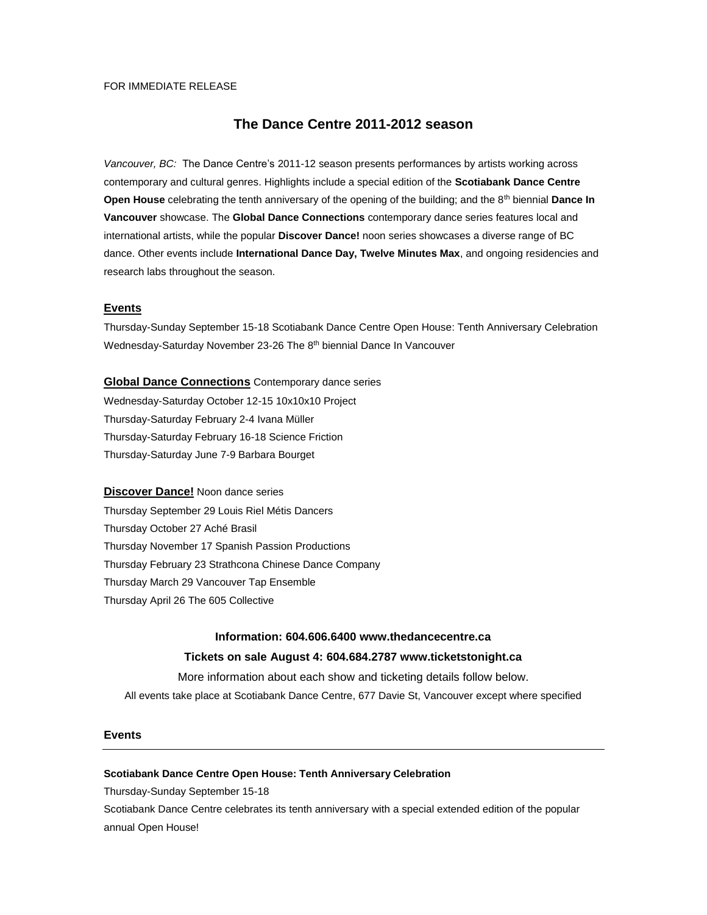## FOR IMMEDIATE RELEASE

# **The Dance Centre 2011-2012 season**

*Vancouver, BC:* The Dance Centre's 2011-12 season presents performances by artists working across contemporary and cultural genres. Highlights include a special edition of the **Scotiabank Dance Centre Open House** celebrating the tenth anniversary of the opening of the building; and the 8th biennial **Dance In Vancouver** showcase. The **Global Dance Connections** contemporary dance series features local and international artists, while the popular **Discover Dance!** noon series showcases a diverse range of BC dance. Other events include **International Dance Day, Twelve Minutes Max**, and ongoing residencies and research labs throughout the season.

## **Events**

Thursday-Sunday September 15-18 Scotiabank Dance Centre Open House: Tenth Anniversary Celebration Wednesday-Saturday November 23-26 The 8<sup>th</sup> biennial Dance In Vancouver

**Global Dance Connections** Contemporary dance series Wednesday-Saturday October 12-15 10x10x10 Project Thursday-Saturday February 2-4 Ivana Müller Thursday-Saturday February 16-18 Science Friction Thursday-Saturday June 7-9 Barbara Bourget

## **Discover Dance!** Noon dance series

Thursday September 29 Louis Riel Métis Dancers Thursday October 27 Aché Brasil Thursday November 17 Spanish Passion Productions Thursday February 23 Strathcona Chinese Dance Company Thursday March 29 Vancouver Tap Ensemble Thursday April 26 The 605 Collective

## **Information: 604.606.6400 www.thedancecentre.ca**

## **Tickets on sale August 4: 604.684.2787 www.ticketstonight.ca**

More information about each show and ticketing details follow below.

All events take place at Scotiabank Dance Centre, 677 Davie St, Vancouver except where specified

#### **Events**

### **Scotiabank Dance Centre Open House: Tenth Anniversary Celebration**

Thursday-Sunday September 15-18

Scotiabank Dance Centre celebrates its tenth anniversary with a special extended edition of the popular annual Open House!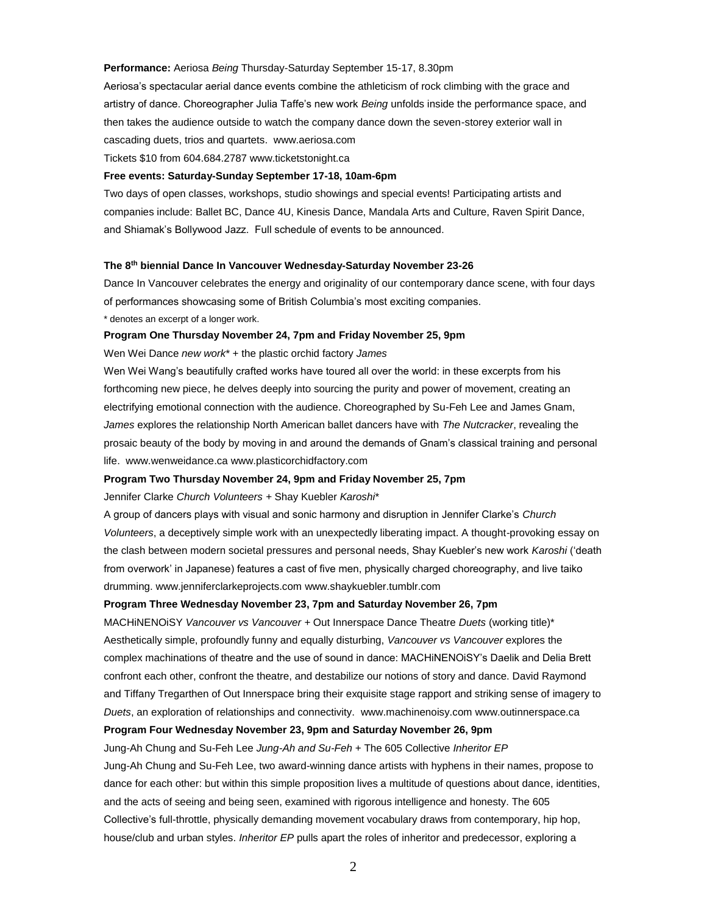#### **Performance:** Aeriosa *Being* Thursday-Saturday September 15-17, 8.30pm

Aeriosa's spectacular aerial dance events combine the athleticism of rock climbing with the grace and artistry of dance. Choreographer Julia Taffe's new work *Being* unfolds inside the performance space, and then takes the audience outside to watch the company dance down the seven-storey exterior wall in cascading duets, trios and quartets. www.aeriosa.com

Tickets \$10 from 604.684.2787 www.ticketstonight.ca

#### **Free events: Saturday-Sunday September 17-18, 10am-6pm**

Two days of open classes, workshops, studio showings and special events! Participating artists and companies include: Ballet BC, Dance 4U, Kinesis Dance, Mandala Arts and Culture, Raven Spirit Dance, and Shiamak's Bollywood Jazz. Full schedule of events to be announced.

## **The 8th biennial Dance In Vancouver Wednesday-Saturday November 23-26**

Dance In Vancouver celebrates the energy and originality of our contemporary dance scene, with four days of performances showcasing some of British Columbia's most exciting companies.

\* denotes an excerpt of a longer work.

## **Program One Thursday November 24, 7pm and Friday November 25, 9pm**

Wen Wei Dance *new work*\* + the plastic orchid factory *James* 

Wen Wei Wang's beautifully crafted works have toured all over the world: in these excerpts from his forthcoming new piece, he delves deeply into sourcing the purity and power of movement, creating an electrifying emotional connection with the audience. Choreographed by Su-Feh Lee and James Gnam, *James* explores the relationship North American ballet dancers have with *The Nutcracker*, revealing the prosaic beauty of the body by moving in and around the demands of Gnam's classical training and personal life. www.wenweidance.ca www.plasticorchidfactory.com

#### **Program Two Thursday November 24, 9pm and Friday November 25, 7pm**

Jennifer Clarke *Church Volunteers +* Shay Kuebler *Karoshi*\*

A group of dancers plays with visual and sonic harmony and disruption in Jennifer Clarke's *Church Volunteers*, a deceptively simple work with an unexpectedly liberating impact. A thought-provoking essay on the clash between modern societal pressures and personal needs, Shay Kuebler's new work *Karoshi* ('death from overwork' in Japanese) features a cast of five men, physically charged choreography, and live taiko drumming. www.jenniferclarkeprojects.com www.shaykuebler.tumblr.com

## **Program Three Wednesday November 23, 7pm and Saturday November 26, 7pm**

MACHiNENOiSY *Vancouver vs Vancouver +* Out Innerspace Dance Theatre *Duets* (working title)\* Aesthetically simple, profoundly funny and equally disturbing, *Vancouver vs Vancouver* explores the complex machinations of theatre and the use of sound in dance: MACHiNENOiSY's Daelik and Delia Brett confront each other, confront the theatre, and destabilize our notions of story and dance. David Raymond and Tiffany Tregarthen of Out Innerspace bring their exquisite stage rapport and striking sense of imagery to *Duets*, an exploration of relationships and connectivity. www.machinenoisy.com www.outinnerspace.ca

## **Program Four Wednesday November 23, 9pm and Saturday November 26, 9pm**

Jung-Ah Chung and Su-Feh Lee *Jung-Ah and Su-Feh* + The 605 Collective *Inheritor EP* Jung-Ah Chung and Su-Feh Lee, two award-winning dance artists with hyphens in their names, propose to dance for each other: but within this simple proposition lives a multitude of questions about dance, identities, and the acts of seeing and being seen, examined with rigorous intelligence and honesty. The 605 Collective's full-throttle, physically demanding movement vocabulary draws from contemporary, hip hop, house/club and urban styles. *Inheritor EP* pulls apart the roles of inheritor and predecessor, exploring a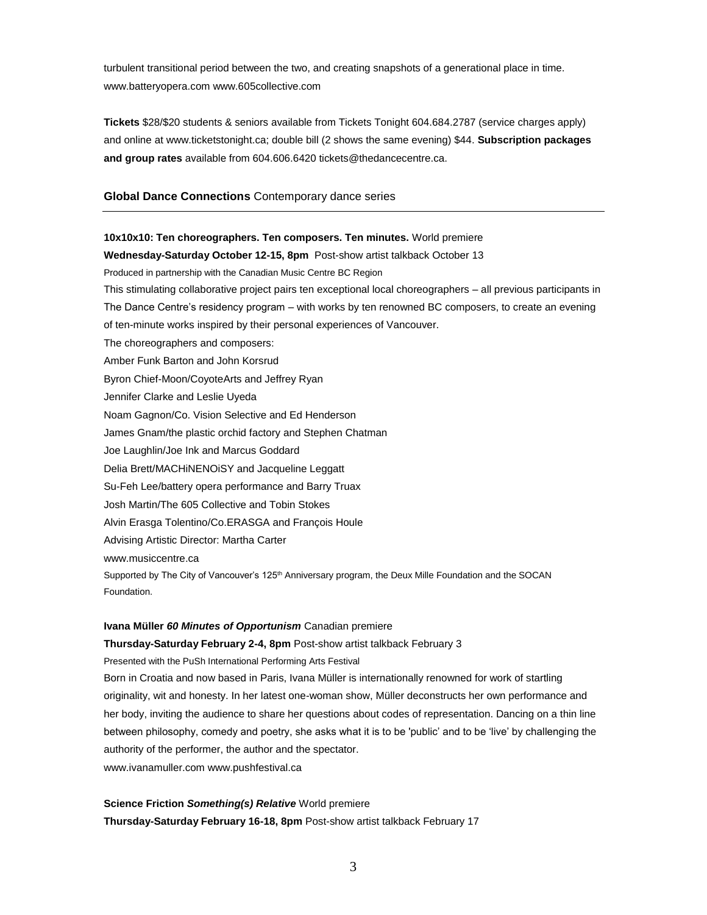turbulent transitional period between the two, and creating snapshots of a generational place in time. www.batteryopera.com www.605collective.com

**Tickets** \$28/\$20 students & seniors available from Tickets Tonight 604.684.2787 (service charges apply) and online at www.ticketstonight.ca; double bill (2 shows the same evening) \$44. **Subscription packages and group rates** available from 604.606.6420 tickets@thedancecentre.ca.

## **Global Dance Connections** Contemporary dance series

**10x10x10: Ten choreographers. Ten composers. Ten minutes.** World premiere

# **Wednesday-Saturday October 12-15, 8pm** Post-show artist talkback October 13 Produced in partnership with the Canadian Music Centre BC Region This stimulating collaborative project pairs ten exceptional local choreographers – all previous participants in The Dance Centre's residency program – with works by ten renowned BC composers, to create an evening of ten-minute works inspired by their personal experiences of Vancouver. The choreographers and composers: Amber Funk Barton and John Korsrud Byron Chief-Moon/CoyoteArts and Jeffrey Ryan Jennifer Clarke and Leslie Uyeda Noam Gagnon/Co. Vision Selective and Ed Henderson James Gnam/the plastic orchid factory and Stephen Chatman Joe Laughlin/Joe Ink and Marcus Goddard Delia Brett/MACHiNENOiSY and Jacqueline Leggatt Su-Feh Lee/battery opera performance and Barry Truax Josh Martin/The 605 Collective and Tobin Stokes Alvin Erasga Tolentino/Co.ERASGA and François Houle Advising Artistic Director: Martha Carter www.musiccentre.ca Supported by The City of Vancouver's 125<sup>th</sup> Anniversary program, the Deux Mille Foundation and the SOCAN Foundation.

## **Ivana Müller** *60 Minutes of Opportunism* Canadian premiere

**Thursday-Saturday February 2-4, 8pm** Post-show artist talkback February 3 Presented with the PuSh International Performing Arts Festival Born in Croatia and now based in Paris, Ivana Müller is internationally renowned for work of startling originality, wit and honesty. In her latest one-woman show, Müller deconstructs her own performance and her body, inviting the audience to share her questions about codes of representation. Dancing on a thin line between philosophy, comedy and poetry, she asks what it is to be 'public' and to be 'live' by challenging the authority of the performer, the author and the spectator. www.ivanamuller.com www.pushfestival.ca

**Science Friction** *Something(s) Relative* World premiere **Thursday-Saturday February 16-18, 8pm** Post-show artist talkback February 17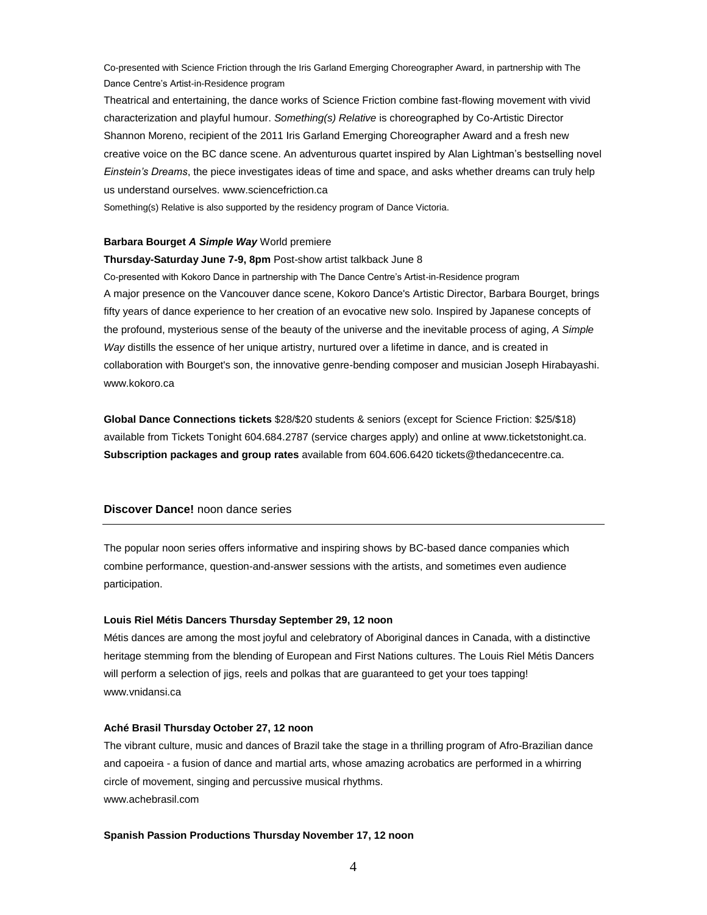Co-presented with Science Friction through the Iris Garland Emerging Choreographer Award, in partnership with The Dance Centre's Artist-in-Residence program

Theatrical and entertaining, the dance works of Science Friction combine fast-flowing movement with vivid characterization and playful humour. *Something(s) Relative* is choreographed by Co-Artistic Director Shannon Moreno, recipient of the 2011 Iris Garland Emerging Choreographer Award and a fresh new creative voice on the BC dance scene. An adventurous quartet inspired by Alan Lightman's bestselling novel *Einstein's Dreams*, the piece investigates ideas of time and space, and asks whether dreams can truly help us understand ourselves. www.sciencefriction.ca

Something(s) Relative is also supported by the residency program of Dance Victoria.

## **Barbara Bourget** *A Simple Way* World premiere

**Thursday-Saturday June 7-9, 8pm** Post-show artist talkback June 8 Co-presented with Kokoro Dance in partnership with The Dance Centre's Artist-in-Residence program A major presence on the Vancouver dance scene, Kokoro Dance's Artistic Director, Barbara Bourget, brings fifty years of dance experience to her creation of an evocative new solo. Inspired by Japanese concepts of the profound, mysterious sense of the beauty of the universe and the inevitable process of aging, *A Simple Way* distills the essence of her unique artistry, nurtured over a lifetime in dance, and is created in collaboration with Bourget's son, the innovative genre-bending composer and musician Joseph Hirabayashi. www.kokoro.ca

**Global Dance Connections tickets** \$28/\$20 students & seniors (except for Science Friction: \$25/\$18) available from Tickets Tonight 604.684.2787 (service charges apply) and online at www.ticketstonight.ca. **Subscription packages and group rates** available from 604.606.6420 tickets@thedancecentre.ca.

## **Discover Dance!** noon dance series

The popular noon series offers informative and inspiring shows by BC-based dance companies which combine performance, question-and-answer sessions with the artists, and sometimes even audience participation.

#### **Louis Riel Métis Dancers Thursday September 29, 12 noon**

Métis dances are among the most joyful and celebratory of Aboriginal dances in Canada, with a distinctive heritage stemming from the blending of European and First Nations cultures. The Louis Riel Métis Dancers will perform a selection of jigs, reels and polkas that are guaranteed to get your toes tapping! www.vnidansi.ca

#### **Aché Brasil Thursday October 27, 12 noon**

The vibrant culture, music and dances of Brazil take the stage in a thrilling program of Afro-Brazilian dance and capoeira - a fusion of dance and martial arts, whose amazing acrobatics are performed in a whirring circle of movement, singing and percussive musical rhythms. www.achebrasil.com

#### **Spanish Passion Productions Thursday November 17, 12 noon**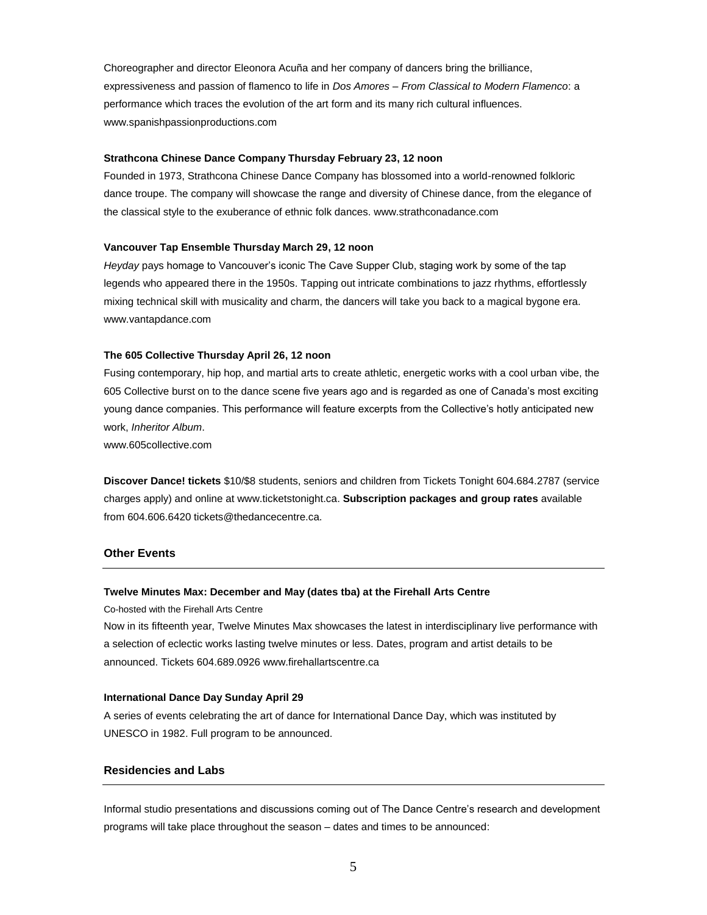Choreographer and director Eleonora Acuña and her company of dancers bring the brilliance, expressiveness and passion of flamenco to life in *Dos Amores – From Classical to Modern Flamenco*: a performance which traces the evolution of the art form and its many rich cultural influences. www.spanishpassionproductions.com

## **Strathcona Chinese Dance Company Thursday February 23, 12 noon**

Founded in 1973, Strathcona Chinese Dance Company has blossomed into a world-renowned folkloric dance troupe. The company will showcase the range and diversity of Chinese dance, from the elegance of the classical style to the exuberance of ethnic folk dances. www.strathconadance.com

## **Vancouver Tap Ensemble Thursday March 29, 12 noon**

*Heyday* pays homage to Vancouver's iconic The Cave Supper Club, staging work by some of the tap legends who appeared there in the 1950s. Tapping out intricate combinations to jazz rhythms, effortlessly mixing technical skill with musicality and charm, the dancers will take you back to a magical bygone era. www.vantapdance.com

## **The 605 Collective Thursday April 26, 12 noon**

Fusing contemporary, hip hop, and martial arts to create athletic, energetic works with a cool urban vibe, the 605 Collective burst on to the dance scene five years ago and is regarded as one of Canada's most exciting young dance companies. This performance will feature excerpts from the Collective's hotly anticipated new work, *Inheritor Album*.

www.605collective.com

**Discover Dance! tickets** \$10/\$8 students, seniors and children from Tickets Tonight 604.684.2787 (service charges apply) and online at www.ticketstonight.ca. **Subscription packages and group rates** available from 604.606.6420 tickets@thedancecentre.ca.

## **Other Events**

#### **Twelve Minutes Max: December and May (dates tba) at the Firehall Arts Centre**

Co-hosted with the Firehall Arts Centre

Now in its fifteenth year, Twelve Minutes Max showcases the latest in interdisciplinary live performance with a selection of eclectic works lasting twelve minutes or less. Dates, program and artist details to be announced. Tickets 604.689.0926 www.firehallartscentre.ca

#### **International Dance Day Sunday April 29**

A series of events celebrating the art of dance for International Dance Day, which was instituted by UNESCO in 1982. Full program to be announced.

## **Residencies and Labs**

Informal studio presentations and discussions coming out of The Dance Centre's research and development programs will take place throughout the season – dates and times to be announced: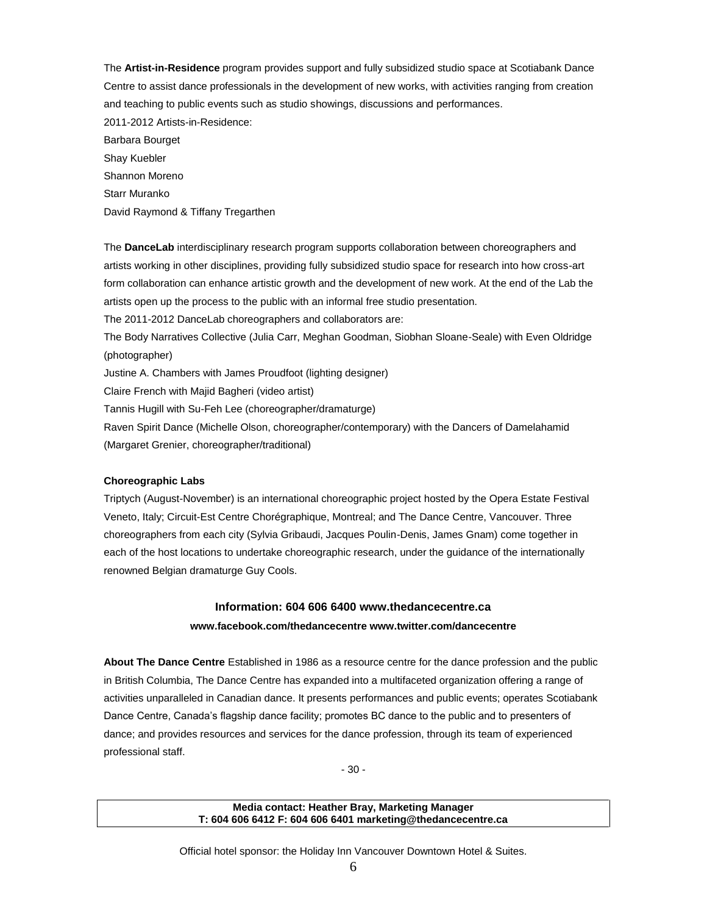The **Artist-in-Residence** program provides support and fully subsidized studio space at Scotiabank Dance Centre to assist dance professionals in the development of new works, with activities ranging from creation and teaching to public events such as studio showings, discussions and performances. 2011-2012 Artists-in-Residence: Barbara Bourget Shay Kuebler Shannon Moreno Starr Muranko David Raymond & Tiffany Tregarthen

The **DanceLab** interdisciplinary research program supports collaboration between choreographers and artists working in other disciplines, providing fully subsidized studio space for research into how cross-art form collaboration can enhance artistic growth and the development of new work. At the end of the Lab the artists open up the process to the public with an informal free studio presentation. The 2011-2012 DanceLab choreographers and collaborators are:

The Body Narratives Collective (Julia Carr, Meghan Goodman, Siobhan Sloane-Seale) with Even Oldridge (photographer)

Justine A. Chambers with James Proudfoot (lighting designer)

Claire French with Majid Bagheri (video artist)

Tannis Hugill with Su-Feh Lee (choreographer/dramaturge)

Raven Spirit Dance (Michelle Olson, choreographer/contemporary) with the Dancers of Damelahamid (Margaret Grenier, choreographer/traditional)

#### **Choreographic Labs**

Triptych (August-November) is an international choreographic project hosted by the Opera Estate Festival Veneto, Italy; Circuit-Est Centre Chorégraphique, Montreal; and The Dance Centre, Vancouver. Three choreographers from each city (Sylvia Gribaudi, Jacques Poulin-Denis, James Gnam) come together in each of the host locations to undertake choreographic research, under the guidance of the internationally renowned Belgian dramaturge Guy Cools.

# **Information: 604 606 6400 www.thedancecentre.ca**

## **www.facebook.com/thedancecentre www.twitter.com/dancecentre**

**About The Dance Centre** Established in 1986 as a resource centre for the dance profession and the public in British Columbia, The Dance Centre has expanded into a multifaceted organization offering a range of activities unparalleled in Canadian dance. It presents performances and public events; operates Scotiabank Dance Centre, Canada's flagship dance facility; promotes BC dance to the public and to presenters of dance; and provides resources and services for the dance profession, through its team of experienced professional staff.

- 30 -

## **Media contact: Heather Bray, Marketing Manager T: 604 606 6412 F: 604 606 6401 marketing@thedancecentre.ca**

Official hotel sponsor: the Holiday Inn Vancouver Downtown Hotel & Suites.